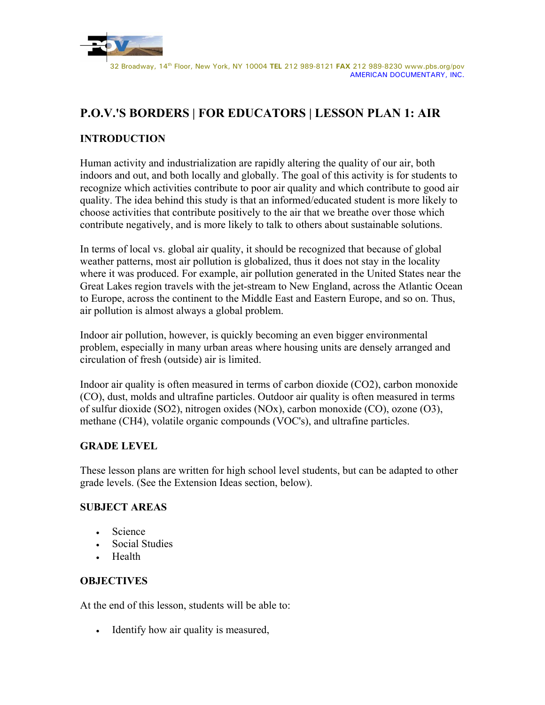

# **P.O.V.'S BORDERS | FOR EDUCATORS | LESSON PLAN 1: AIR**

# **INTRODUCTION**

Human activity and industrialization are rapidly altering the quality of our air, both indoors and out, and both locally and globally. The goal of this activity is for students to recognize which activities contribute to poor air quality and which contribute to good air quality. The idea behind this study is that an informed/educated student is more likely to choose activities that contribute positively to the air that we breathe over those which contribute negatively, and is more likely to talk to others about sustainable solutions.

In terms of local vs. global air quality, it should be recognized that because of global weather patterns, most air pollution is globalized, thus it does not stay in the locality where it was produced. For example, air pollution generated in the United States near the Great Lakes region travels with the jet-stream to New England, across the Atlantic Ocean to Europe, across the continent to the Middle East and Eastern Europe, and so on. Thus, air pollution is almost always a global problem.

Indoor air pollution, however, is quickly becoming an even bigger environmental problem, especially in many urban areas where housing units are densely arranged and circulation of fresh (outside) air is limited.

Indoor air quality is often measured in terms of carbon dioxide (CO2), carbon monoxide (CO), dust, molds and ultrafine particles. Outdoor air quality is often measured in terms of sulfur dioxide (SO2), nitrogen oxides (NOx), carbon monoxide (CO), ozone (O3), methane (CH4), volatile organic compounds (VOC's), and ultrafine particles.

#### **GRADE LEVEL**

These lesson plans are written for high school level students, but can be adapted to other grade levels. (See the Extension Ideas section, below).

# **SUBJECT AREAS**

- Science
- Social Studies
- Health

## **OBJECTIVES**

At the end of this lesson, students will be able to:

• Identify how air quality is measured,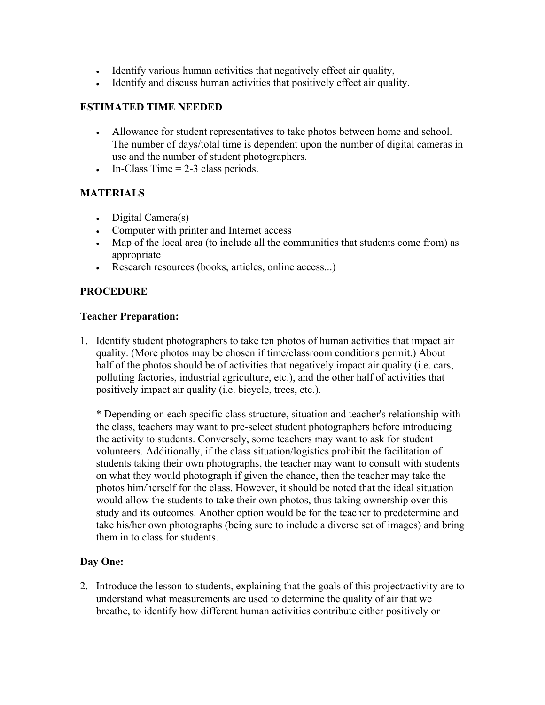- Identify various human activities that negatively effect air quality,
- Identify and discuss human activities that positively effect air quality.

## **ESTIMATED TIME NEEDED**

- Allowance for student representatives to take photos between home and school. The number of days/total time is dependent upon the number of digital cameras in use and the number of student photographers.
- In-Class Time  $= 2-3$  class periods.

### **MATERIALS**

- Digital Camera(s)
- Computer with printer and Internet access
- Map of the local area (to include all the communities that students come from) as appropriate
- Research resources (books, articles, online access...)

### **PROCEDURE**

#### **Teacher Preparation:**

1. Identify student photographers to take ten photos of human activities that impact air quality. (More photos may be chosen if time/classroom conditions permit.) About half of the photos should be of activities that negatively impact air quality (i.e. cars, polluting factories, industrial agriculture, etc.), and the other half of activities that positively impact air quality (i.e. bicycle, trees, etc.).

\* Depending on each specific class structure, situation and teacher's relationship with the class, teachers may want to pre-select student photographers before introducing the activity to students. Conversely, some teachers may want to ask for student volunteers. Additionally, if the class situation/logistics prohibit the facilitation of students taking their own photographs, the teacher may want to consult with students on what they would photograph if given the chance, then the teacher may take the photos him/herself for the class. However, it should be noted that the ideal situation would allow the students to take their own photos, thus taking ownership over this study and its outcomes. Another option would be for the teacher to predetermine and take his/her own photographs (being sure to include a diverse set of images) and bring them in to class for students.

#### **Day One:**

2. Introduce the lesson to students, explaining that the goals of this project/activity are to understand what measurements are used to determine the quality of air that we breathe, to identify how different human activities contribute either positively or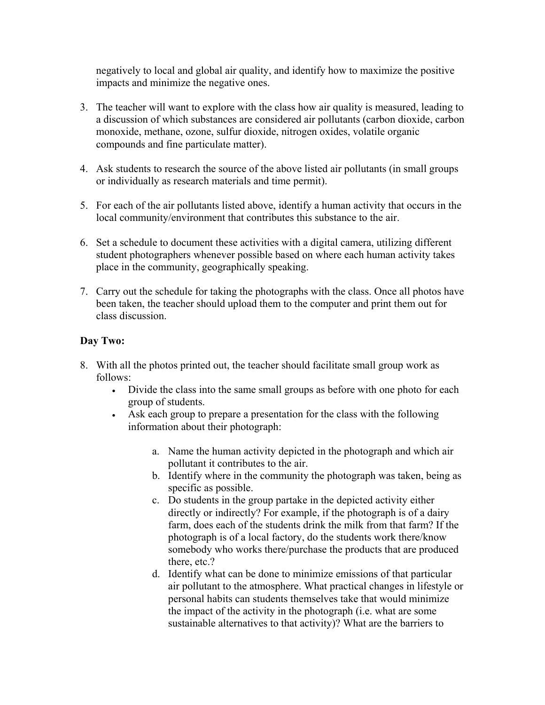negatively to local and global air quality, and identify how to maximize the positive impacts and minimize the negative ones.

- 3. The teacher will want to explore with the class how air quality is measured, leading to a discussion of which substances are considered air pollutants (carbon dioxide, carbon monoxide, methane, ozone, sulfur dioxide, nitrogen oxides, volatile organic compounds and fine particulate matter).
- 4. Ask students to research the source of the above listed air pollutants (in small groups or individually as research materials and time permit).
- 5. For each of the air pollutants listed above, identify a human activity that occurs in the local community/environment that contributes this substance to the air.
- 6. Set a schedule to document these activities with a digital camera, utilizing different student photographers whenever possible based on where each human activity takes place in the community, geographically speaking.
- 7. Carry out the schedule for taking the photographs with the class. Once all photos have been taken, the teacher should upload them to the computer and print them out for class discussion.

# **Day Two:**

- 8. With all the photos printed out, the teacher should facilitate small group work as follows:
	- Divide the class into the same small groups as before with one photo for each group of students.
	- Ask each group to prepare a presentation for the class with the following information about their photograph:
		- a. Name the human activity depicted in the photograph and which air pollutant it contributes to the air.
		- b. Identify where in the community the photograph was taken, being as specific as possible.
		- c. Do students in the group partake in the depicted activity either directly or indirectly? For example, if the photograph is of a dairy farm, does each of the students drink the milk from that farm? If the photograph is of a local factory, do the students work there/know somebody who works there/purchase the products that are produced there, etc.?
		- d. Identify what can be done to minimize emissions of that particular air pollutant to the atmosphere. What practical changes in lifestyle or personal habits can students themselves take that would minimize the impact of the activity in the photograph (i.e. what are some sustainable alternatives to that activity)? What are the barriers to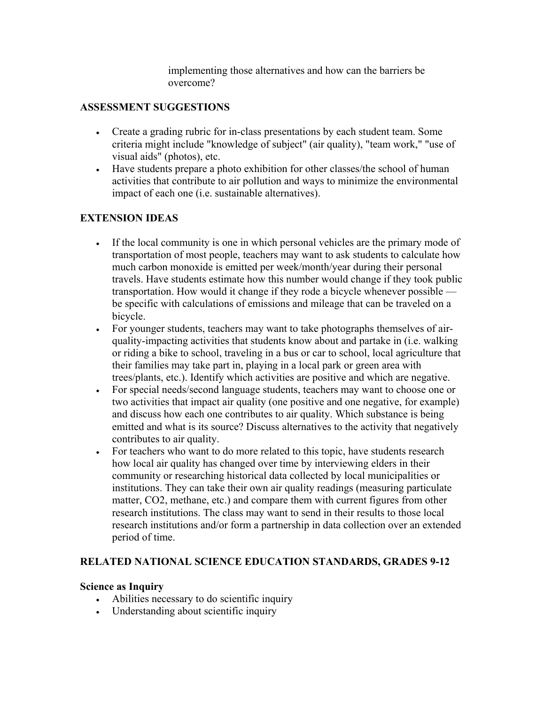implementing those alternatives and how can the barriers be overcome?

## **ASSESSMENT SUGGESTIONS**

- Create a grading rubric for in-class presentations by each student team. Some criteria might include "knowledge of subject" (air quality), "team work," "use of visual aids" (photos), etc.
- Have students prepare a photo exhibition for other classes/the school of human activities that contribute to air pollution and ways to minimize the environmental impact of each one (i.e. sustainable alternatives).

## **EXTENSION IDEAS**

- If the local community is one in which personal vehicles are the primary mode of transportation of most people, teachers may want to ask students to calculate how much carbon monoxide is emitted per week/month/year during their personal travels. Have students estimate how this number would change if they took public transportation. How would it change if they rode a bicycle whenever possible be specific with calculations of emissions and mileage that can be traveled on a bicycle.
- For younger students, teachers may want to take photographs themselves of airquality-impacting activities that students know about and partake in (i.e. walking or riding a bike to school, traveling in a bus or car to school, local agriculture that their families may take part in, playing in a local park or green area with trees/plants, etc.). Identify which activities are positive and which are negative.
- For special needs/second language students, teachers may want to choose one or two activities that impact air quality (one positive and one negative, for example) and discuss how each one contributes to air quality. Which substance is being emitted and what is its source? Discuss alternatives to the activity that negatively contributes to air quality.
- For teachers who want to do more related to this topic, have students research how local air quality has changed over time by interviewing elders in their community or researching historical data collected by local municipalities or institutions. They can take their own air quality readings (measuring particulate matter, CO2, methane, etc.) and compare them with current figures from other research institutions. The class may want to send in their results to those local research institutions and/or form a partnership in data collection over an extended period of time.

## **RELATED NATIONAL SCIENCE EDUCATION STANDARDS, GRADES 9-12**

#### **Science as Inquiry**

- Abilities necessary to do scientific inquiry
- Understanding about scientific inquiry